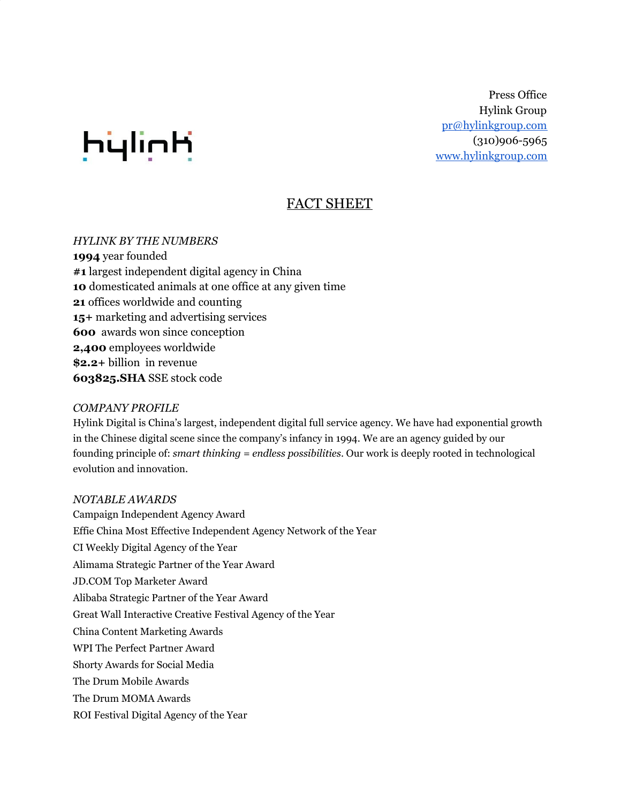

Press Office Hylink Group [pr@hylinkgroup.com](mailto:pr@hylinkgroup.com) (310)906-5965 [www.hylinkgroup.com](http://www.hylinkgroup.com/)

# FACT SHEET

*HYLINK BY THE NUMBERS* **1994** year founded **#1** largest independent digital agency in China **10** domesticated animals at one office at any given time **21** offices worldwide and counting **15+** marketing and advertising services **600** awards won since conception **2,400** employees worldwide **\$2.2+** billion in revenue **603825.SHA** SSE stock code

## *COMPANY PROFILE*

Hylink Digital is China's largest, independent digital full service agency. We have had exponential growth in the Chinese digital scene since the company's infancy in 1994. We are an agency guided by our founding principle of: *smart thinking = endless possibilities*. Our work is deeply rooted in technological evolution and innovation.

## *NOTABLE AWARDS*

Campaign Independent Agency Award Effie China Most Effective Independent Agency Network of the Year CI Weekly Digital Agency of the Year Alimama Strategic Partner of the Year Award [JD.COM](http://jd.com/) Top Marketer Award Alibaba Strategic Partner of the Year Award Great Wall Interactive Creative Festival Agency of the Year China Content Marketing Awards WPI The Perfect Partner Award Shorty Awards for Social Media The Drum Mobile Awards The Drum MOMA Awards ROI Festival Digital Agency of the Year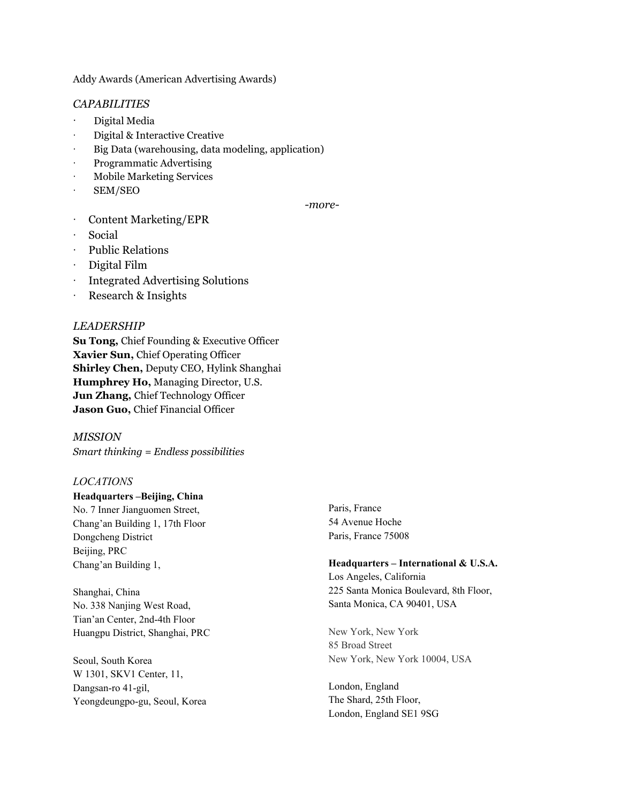Addy Awards (American Advertising Awards)

## *CAPABILITIES*

- · Digital Media
- · Digital & Interactive Creative
- Big Data (warehousing, data modeling, application)
- · Programmatic Advertising
- · Mobile Marketing Services
- · SEM/SEO

*-more-*

- Content Marketing/EPR
- · Social
- · Public Relations
- · Digital Film
- · Integrated Advertising Solutions
- · Research & Insights

## *LEADERSHIP*

**Su Tong,** Chief Founding & Executive Officer **Xavier Sun,** Chief Operating Officer **Shirley Chen,** Deputy CEO, Hylink Shanghai **Humphrey Ho,** Managing Director, U.S. **Jun Zhang,** Chief Technology Officer **Jason Guo,** Chief Financial Officer

*MISSION Smart thinking = Endless possibilities*

### *LOCATIONS*

**Headquarters –Beijing, China** No. 7 Inner Jianguomen Street, Chang'an Building 1, 17th Floor

Dongcheng District Beijing, PRC Chang'an Building 1,

Shanghai, China No. 338 Nanjing West Road, Tian'an Center, 2nd-4th Floor Huangpu District, Shanghai, PRC

Seoul, South Korea W 1301, SKV1 Center, 11, Dangsan-ro 41-gil, Yeongdeungpo-gu, Seoul, Korea Paris, France 54 Avenue Hoche Paris, France 75008

#### **Headquarters – International & U.S.A.**

Los Angeles, California 225 Santa Monica Boulevard, 8th Floor, Santa Monica, CA 90401, USA

New York, New York 85 Broad Street New York, New York 10004, USA

London, England The Shard, 25th Floor, London, England SE1 9SG